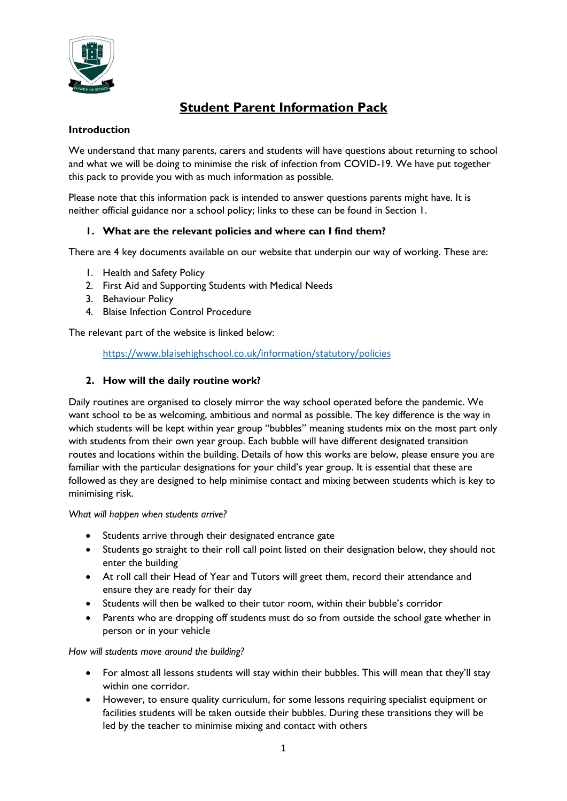

# **Student Parent Information Pack**

# **Introduction**

We understand that many parents, carers and students will have questions about returning to school and what we will be doing to minimise the risk of infection from COVID-19. We have put together this pack to provide you with as much information as possible.

Please note that this information pack is intended to answer questions parents might have. It is neither official guidance nor a school policy; links to these can be found in Section 1.

# **1. What are the relevant policies and where can I find them?**

There are 4 key documents available on our website that underpin our way of working. These are:

- 1. Health and Safety Policy
- 2. First Aid and Supporting Students with Medical Needs
- 3. Behaviour Policy
- 4. Blaise Infection Control Procedure

The relevant part of the website is linked below:

<https://www.blaisehighschool.co.uk/information/statutory/policies>

### **2. How will the daily routine work?**

Daily routines are organised to closely mirror the way school operated before the pandemic. We want school to be as welcoming, ambitious and normal as possible. The key difference is the way in which students will be kept within year group "bubbles" meaning students mix on the most part only with students from their own year group. Each bubble will have different designated transition routes and locations within the building. Details of how this works are below, please ensure you are familiar with the particular designations for your child's year group. It is essential that these are followed as they are designed to help minimise contact and mixing between students which is key to minimising risk.

#### *What will happen when students arrive?*

- Students arrive through their designated entrance gate
- Students go straight to their roll call point listed on their designation below, they should not enter the building
- At roll call their Head of Year and Tutors will greet them, record their attendance and ensure they are ready for their day
- Students will then be walked to their tutor room, within their bubble's corridor
- Parents who are dropping off students must do so from outside the school gate whether in person or in your vehicle

#### *How will students move around the building?*

- For almost all lessons students will stay within their bubbles. This will mean that they'll stay within one corridor.
- However, to ensure quality curriculum, for some lessons requiring specialist equipment or facilities students will be taken outside their bubbles. During these transitions they will be led by the teacher to minimise mixing and contact with others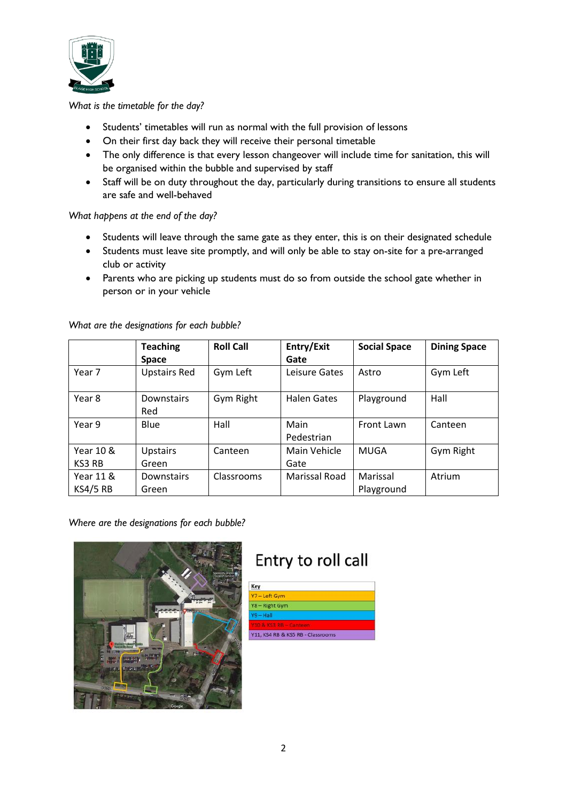

# *What is the timetable for the day?*

- Students' timetables will run as normal with the full provision of lessons
- On their first day back they will receive their personal timetable
- The only difference is that every lesson changeover will include time for sanitation, this will be organised within the bubble and supervised by staff
- Staff will be on duty throughout the day, particularly during transitions to ensure all students are safe and well-behaved

#### *What happens at the end of the day?*

- Students will leave through the same gate as they enter, this is on their designated schedule
- Students must leave site promptly, and will only be able to stay on-site for a pre-arranged club or activity
- Parents who are picking up students must do so from outside the school gate whether in person or in your vehicle

|                              | <b>Teaching</b><br><b>Space</b> | <b>Roll Call</b> | Entry/Exit<br>Gate   | <b>Social Space</b>    | <b>Dining Space</b> |
|------------------------------|---------------------------------|------------------|----------------------|------------------------|---------------------|
| Year 7                       | <b>Upstairs Red</b>             | Gym Left         | Leisure Gates        | Astro                  | Gym Left            |
| Year 8                       | Downstairs<br>Red               | Gym Right        | <b>Halen Gates</b>   | Playground             | Hall                |
| Year 9                       | Blue                            | Hall             | Main<br>Pedestrian   | Front Lawn             | Canteen             |
| Year 10 &<br>KS3 RB          | <b>Upstairs</b><br>Green        | Canteen          | Main Vehicle<br>Gate | <b>MUGA</b>            | Gym Right           |
| Year 11 &<br><b>KS4/5 RB</b> | Downstairs<br>Green             | Classrooms       | Marissal Road        | Marissal<br>Playground | Atrium              |

*What are the designations for each bubble?*

*Where are the designations for each bubble?*



# Entry to roll call

| Key                               |  |
|-----------------------------------|--|
| Y7-Left Gym                       |  |
| Y8 - Right Gym                    |  |
| $Y9 - Ha$ il                      |  |
| <b>D.R. KRR RR - Camt</b>         |  |
| Y11, KS4 RB & KS5 RB - Classrooms |  |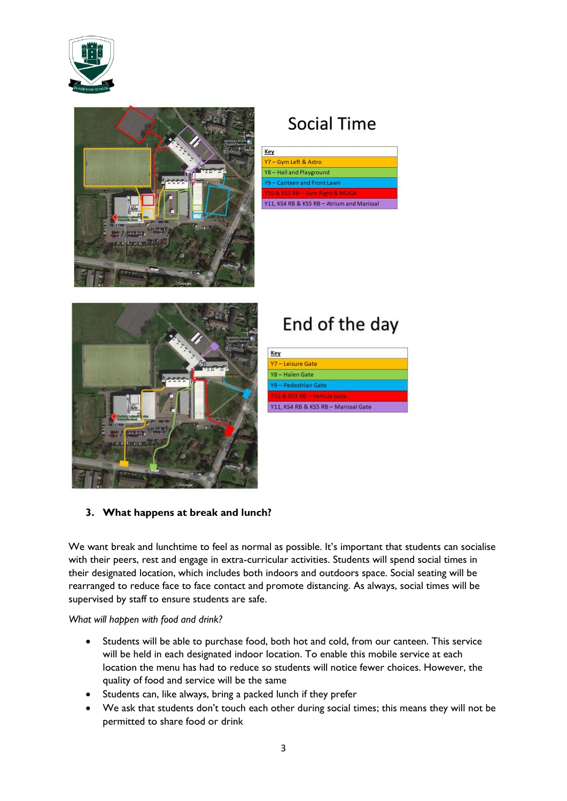



# Social Time

| Key                                        |
|--------------------------------------------|
| Y7 - Gym Left & Astro                      |
| Y8-Hall and Playground                     |
| Y9 - Canteen and Front Lawn                |
| 10 & KS3 RB - Gym Right & MUGA             |
| Y11, KS4 RB & KS5 RB - Atrium and Marissal |



# End of the day

| Key                                  |  |
|--------------------------------------|--|
| Y7-Leisure Gate                      |  |
| Y8 - Halen Gate                      |  |
| Y9 - Pedestrian Gate                 |  |
| Y10 & KS3 RB - Vehicle Gate          |  |
| Y11, KS4 RB & KS5 RB - Marissal Gate |  |

# **3. What happens at break and lunch?**

We want break and lunchtime to feel as normal as possible. It's important that students can socialise with their peers, rest and engage in extra-curricular activities. Students will spend social times in their designated location, which includes both indoors and outdoors space. Social seating will be rearranged to reduce face to face contact and promote distancing. As always, social times will be supervised by staff to ensure students are safe.

### *What will happen with food and drink?*

- Students will be able to purchase food, both hot and cold, from our canteen. This service will be held in each designated indoor location. To enable this mobile service at each location the menu has had to reduce so students will notice fewer choices. However, the quality of food and service will be the same
- Students can, like always, bring a packed lunch if they prefer
- We ask that students don't touch each other during social times; this means they will not be permitted to share food or drink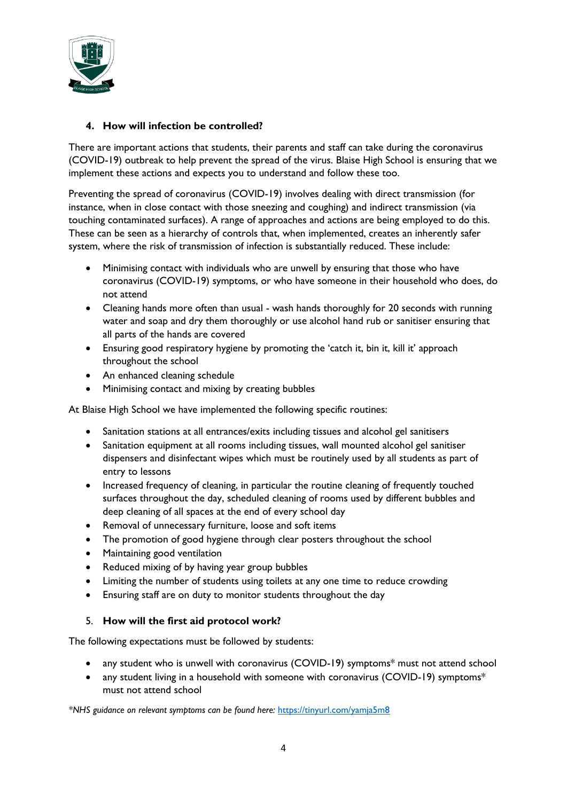

# **4. How will infection be controlled?**

There are important actions that students, their parents and staff can take during the coronavirus (COVID-19) outbreak to help prevent the spread of the virus. Blaise High School is ensuring that we implement these actions and expects you to understand and follow these too.

Preventing the spread of coronavirus (COVID-19) involves dealing with direct transmission (for instance, when in close contact with those sneezing and coughing) and indirect transmission (via touching contaminated surfaces). A range of approaches and actions are being employed to do this. These can be seen as a hierarchy of controls that, when implemented, creates an inherently safer system, where the risk of transmission of infection is substantially reduced. These include:

- Minimising contact with individuals who are unwell by ensuring that those who have coronavirus (COVID-19) symptoms, or who have someone in their household who does, do not attend
- Cleaning hands more often than usual wash hands thoroughly for 20 seconds with running water and soap and dry them thoroughly or use alcohol hand rub or sanitiser ensuring that all parts of the hands are covered
- Ensuring good respiratory hygiene by promoting the 'catch it, bin it, kill it' approach throughout the school
- An enhanced cleaning schedule
- Minimising contact and mixing by creating bubbles

At Blaise High School we have implemented the following specific routines:

- Sanitation stations at all entrances/exits including tissues and alcohol gel sanitisers
- Sanitation equipment at all rooms including tissues, wall mounted alcohol gel sanitiser dispensers and disinfectant wipes which must be routinely used by all students as part of entry to lessons
- Increased frequency of cleaning, in particular the routine cleaning of frequently touched surfaces throughout the day, scheduled cleaning of rooms used by different bubbles and deep cleaning of all spaces at the end of every school day
- Removal of unnecessary furniture, loose and soft items
- The promotion of good hygiene through clear posters throughout the school
- Maintaining good ventilation
- Reduced mixing of by having year group bubbles
- Limiting the number of students using toilets at any one time to reduce crowding
- Ensuring staff are on duty to monitor students throughout the day

### 5. **How will the first aid protocol work?**

The following expectations must be followed by students:

- any student who is unwell with coronavirus (COVID-19) symptoms\* must not attend school
- any student living in a household with someone with coronavirus (COVID-19) symptoms\* must not attend school

*\*NHS guidance on relevant symptoms can be found here:* https://tinyurl.com/yamja5m8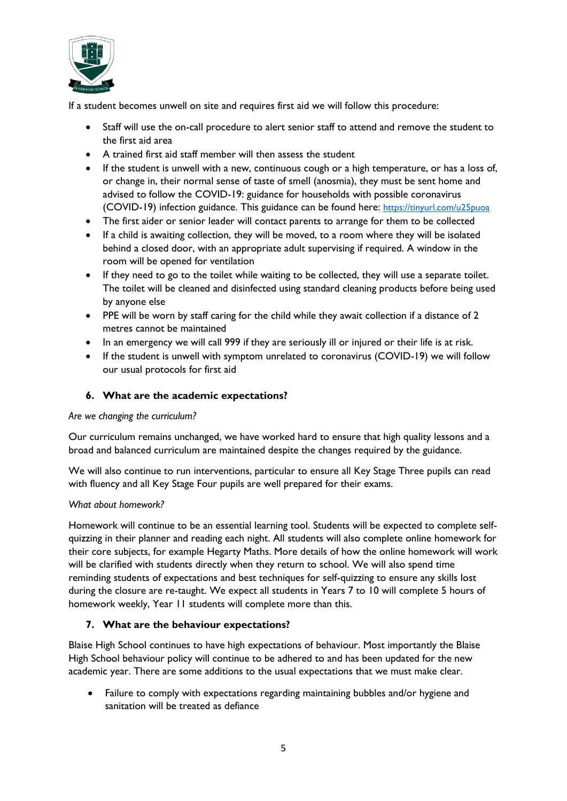

If a student becomes unwell on site and requires first aid we will follow this procedure:

- Staff will use the on-call procedure to alert senior staff to attend and remove the student to the first aid area
- A trained first aid staff member will then assess the student
- If the student is unwell with a new, continuous cough or a high temperature, or has a loss of, or change in, their normal sense of taste of smell (anosmia), they must be sent home and advised to follow the COVID-19: guidance for households with possible coronavirus (COVID-19) infection guidance. This guidance can be found here: <https://tinyurl.com/u25puoa>
- The first aider or senior leader will contact parents to arrange for them to be collected
- If a child is awaiting collection, they will be moved, to a room where they will be isolated behind a closed door, with an appropriate adult supervising if required. A window in the room will be opened for ventilation
- If they need to go to the toilet while waiting to be collected, they will use a separate toilet. The toilet will be cleaned and disinfected using standard cleaning products before being used by anyone else
- PPE will be worn by staff caring for the child while they await collection if a distance of 2 metres cannot be maintained
- In an emergency we will call 999 if they are seriously ill or injured or their life is at risk.
- If the student is unwell with symptom unrelated to coronavirus (COVID-19) we will follow our usual protocols for first aid

# **6. What are the academic expectations?**

*Are we changing the curriculum?*

Our curriculum remains unchanged, we have worked hard to ensure that high quality lessons and a broad and balanced curriculum are maintained despite the changes required by the guidance.

We will also continue to run interventions, particular to ensure all Key Stage Three pupils can read with fluency and all Key Stage Four pupils are well prepared for their exams.

#### *What about homework?*

Homework will continue to be an essential learning tool. Students will be expected to complete selfquizzing in their planner and reading each night. All students will also complete online homework for their core subjects, for example Hegarty Maths. More details of how the online homework will work will be clarified with students directly when they return to school. We will also spend time reminding students of expectations and best techniques for self-quizzing to ensure any skills lost during the closure are re-taught. We expect all students in Years 7 to 10 will complete 5 hours of homework weekly, Year 11 students will complete more than this.

### **7. What are the behaviour expectations?**

Blaise High School continues to have high expectations of behaviour. Most importantly the Blaise High School behaviour policy will continue to be adhered to and has been updated for the new academic year. There are some additions to the usual expectations that we must make clear.

• Failure to comply with expectations regarding maintaining bubbles and/or hygiene and sanitation will be treated as defiance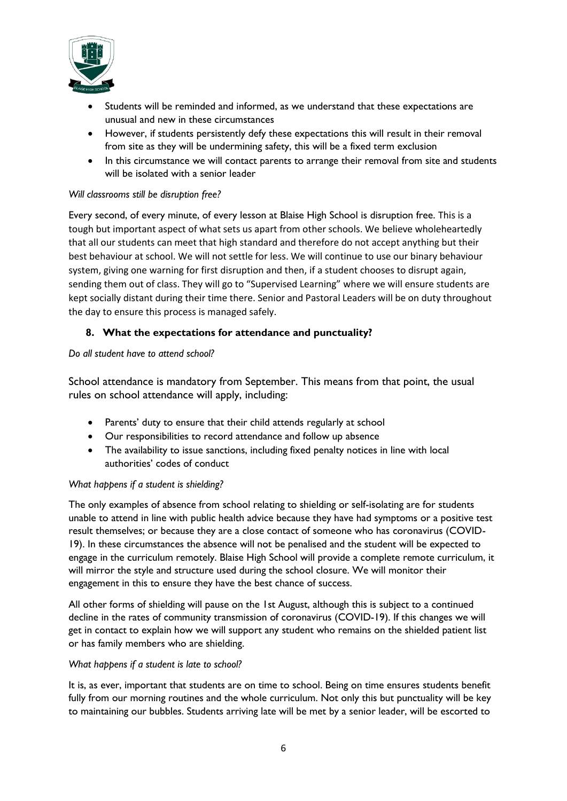

- Students will be reminded and informed, as we understand that these expectations are unusual and new in these circumstances
- However, if students persistently defy these expectations this will result in their removal from site as they will be undermining safety, this will be a fixed term exclusion
- In this circumstance we will contact parents to arrange their removal from site and students will be isolated with a senior leader

#### *Will classrooms still be disruption free?*

Every second, of every minute, of every lesson at Blaise High School is disruption free. This is a tough but important aspect of what sets us apart from other schools. We believe wholeheartedly that all our students can meet that high standard and therefore do not accept anything but their best behaviour at school. We will not settle for less. We will continue to use our binary behaviour system, giving one warning for first disruption and then, if a student chooses to disrupt again, sending them out of class. They will go to "Supervised Learning" where we will ensure students are kept socially distant during their time there. Senior and Pastoral Leaders will be on duty throughout the day to ensure this process is managed safely.

### **8. What the expectations for attendance and punctuality?**

### *Do all student have to attend school?*

School attendance is mandatory from September. This means from that point, the usual rules on school attendance will apply, including:

- Parents' duty to ensure that their child attends regularly at school
- Our responsibilities to record attendance and follow up absence
- The availability to issue sanctions, including fixed penalty notices in line with local authorities' codes of conduct

### *What happens if a student is shielding?*

The only examples of absence from school relating to shielding or self-isolating are for students unable to attend in line with public health advice because they have had symptoms or a positive test result themselves; or because they are a close contact of someone who has coronavirus (COVID-19). In these circumstances the absence will not be penalised and the student will be expected to engage in the curriculum remotely. Blaise High School will provide a complete remote curriculum, it will mirror the style and structure used during the school closure. We will monitor their engagement in this to ensure they have the best chance of success.

All other forms of shielding will pause on the 1st August, although this is subject to a continued decline in the rates of community transmission of coronavirus (COVID-19). If this changes we will get in contact to explain how we will support any student who remains on the shielded patient list or has family members who are shielding.

#### *What happens if a student is late to school?*

It is, as ever, important that students are on time to school. Being on time ensures students benefit fully from our morning routines and the whole curriculum. Not only this but punctuality will be key to maintaining our bubbles. Students arriving late will be met by a senior leader, will be escorted to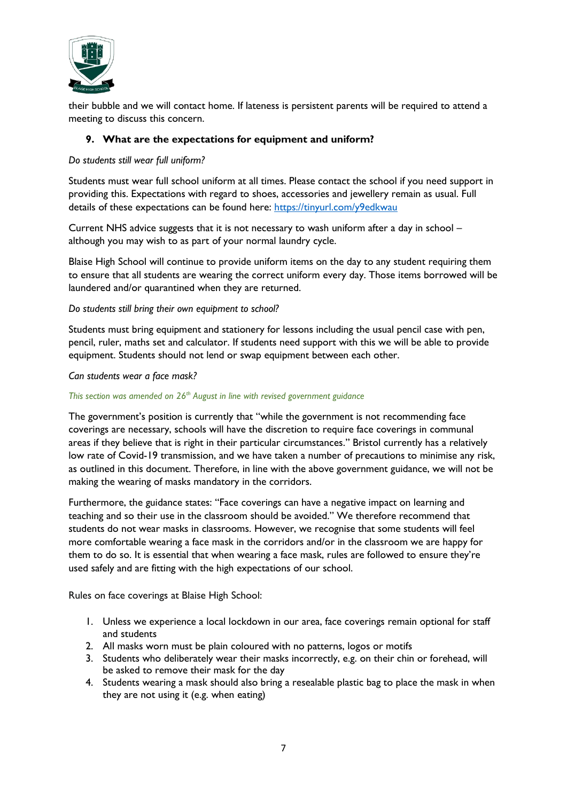

their bubble and we will contact home. If lateness is persistent parents will be required to attend a meeting to discuss this concern.

# **9. What are the expectations for equipment and uniform?**

#### *Do students still wear full uniform?*

Students must wear full school uniform at all times. Please contact the school if you need support in providing this. Expectations with regard to shoes, accessories and jewellery remain as usual. Full details of these expectations can be found here: https://tinyurl.com/y9edkwau

Current NHS advice suggests that it is not necessary to wash uniform after a day in school – although you may wish to as part of your normal laundry cycle.

Blaise High School will continue to provide uniform items on the day to any student requiring them to ensure that all students are wearing the correct uniform every day. Those items borrowed will be laundered and/or quarantined when they are returned.

#### *Do students still bring their own equipment to school?*

Students must bring equipment and stationery for lessons including the usual pencil case with pen, pencil, ruler, maths set and calculator. If students need support with this we will be able to provide equipment. Students should not lend or swap equipment between each other.

#### *Can students wear a face mask?*

#### *This section was amended on 26th August in line with revised government guidance*

The government's position is currently that "while the government is not recommending face coverings are necessary, schools will have the discretion to require face coverings in communal areas if they believe that is right in their particular circumstances." Bristol currently has a relatively low rate of Covid-19 transmission, and we have taken a number of precautions to minimise any risk, as outlined in this document. Therefore, in line with the above government guidance, we will not be making the wearing of masks mandatory in the corridors.

Furthermore, the guidance states: "Face coverings can have a negative impact on learning and teaching and so their use in the classroom should be avoided." We therefore recommend that students do not wear masks in classrooms. However, we recognise that some students will feel more comfortable wearing a face mask in the corridors and/or in the classroom we are happy for them to do so. It is essential that when wearing a face mask, rules are followed to ensure they're used safely and are fitting with the high expectations of our school.

Rules on face coverings at Blaise High School:

- 1. Unless we experience a local lockdown in our area, face coverings remain optional for staff and students
- 2. All masks worn must be plain coloured with no patterns, logos or motifs
- 3. Students who deliberately wear their masks incorrectly, e.g. on their chin or forehead, will be asked to remove their mask for the day
- 4. Students wearing a mask should also bring a resealable plastic bag to place the mask in when they are not using it (e.g. when eating)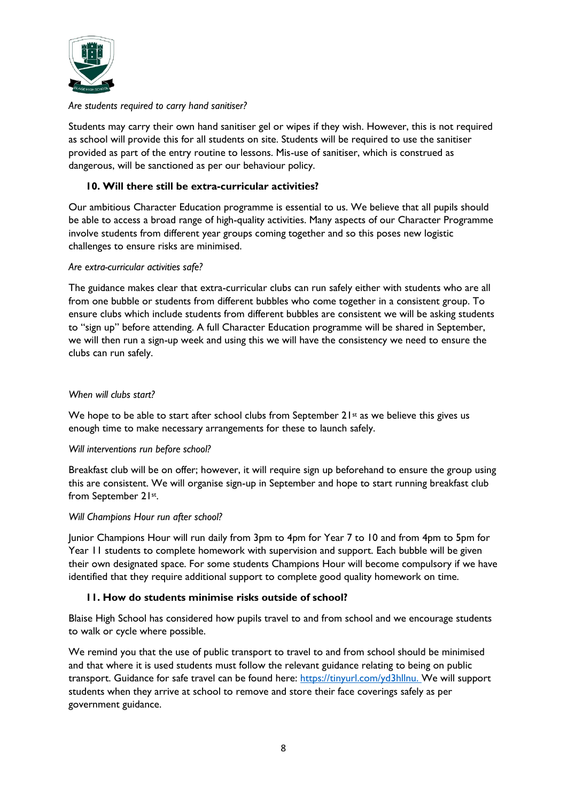

### *Are students required to carry hand sanitiser?*

Students may carry their own hand sanitiser gel or wipes if they wish. However, this is not required as school will provide this for all students on site. Students will be required to use the sanitiser provided as part of the entry routine to lessons. Mis-use of sanitiser, which is construed as dangerous, will be sanctioned as per our behaviour policy.

# **10. Will there still be extra-curricular activities?**

Our ambitious Character Education programme is essential to us. We believe that all pupils should be able to access a broad range of high-quality activities. Many aspects of our Character Programme involve students from different year groups coming together and so this poses new logistic challenges to ensure risks are minimised.

#### *Are extra-curricular activities safe?*

The guidance makes clear that extra-curricular clubs can run safely either with students who are all from one bubble or students from different bubbles who come together in a consistent group. To ensure clubs which include students from different bubbles are consistent we will be asking students to "sign up" before attending. A full Character Education programme will be shared in September, we will then run a sign-up week and using this we will have the consistency we need to ensure the clubs can run safely.

#### *When will clubs start?*

We hope to be able to start after school clubs from September  $21<sup>st</sup>$  as we believe this gives us enough time to make necessary arrangements for these to launch safely.

### *Will interventions run before school?*

Breakfast club will be on offer; however, it will require sign up beforehand to ensure the group using this are consistent. We will organise sign-up in September and hope to start running breakfast club from September 21st.

#### *Will Champions Hour run after school?*

Junior Champions Hour will run daily from 3pm to 4pm for Year 7 to 10 and from 4pm to 5pm for Year 11 students to complete homework with supervision and support. Each bubble will be given their own designated space. For some students Champions Hour will become compulsory if we have identified that they require additional support to complete good quality homework on time.

### **11. How do students minimise risks outside of school?**

Blaise High School has considered how pupils travel to and from school and we encourage students to walk or cycle where possible.

We remind you that the use of public transport to travel to and from school should be minimised and that where it is used students must follow the relevant guidance relating to being on public transport. Guidance for safe travel can be found here: [https://tinyurl.com/yd3hllnu.](https://tinyurl.com/yd3hllnu) We will support students when they arrive at school to remove and store their face coverings safely as per government guidance.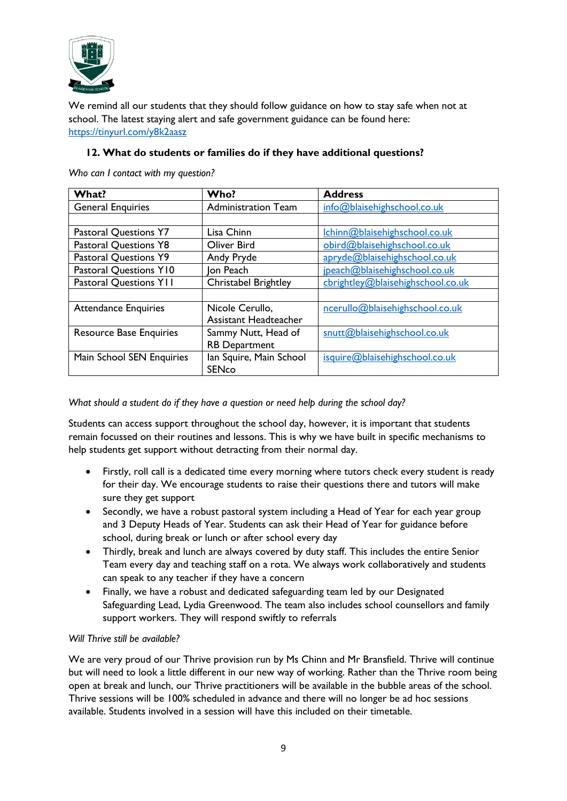

We remind all our students that they should follow guidance on how to stay safe when not at school. The latest staying alert and safe government guidance can be found here: https://tinyurl.com/y8k2aasz

# **12. What do students or families do if they have additional questions?**

*Who can I contact with my question?*

| What?                          | Who?                         | <b>Address</b>                    |  |
|--------------------------------|------------------------------|-----------------------------------|--|
| <b>General Enquiries</b>       | <b>Administration Team</b>   | info@blaisehighschool.co.uk       |  |
|                                |                              |                                   |  |
| <b>Pastoral Questions Y7</b>   | Lisa Chinn                   | Ichinn@blaisehighschool.co.uk     |  |
| <b>Pastoral Questions Y8</b>   | Oliver Bird                  | obird@blaisehighschool.co.uk      |  |
| <b>Pastoral Questions Y9</b>   | Andy Pryde                   | apryde@blaisehighschool.co.uk     |  |
| <b>Pastoral Questions Y10</b>  | Ion Peach                    | jpeach@blaisehighschool.co.uk     |  |
| <b>Pastoral Questions YII</b>  | Christabel Brightley         | cbrightley@blaisehighschool.co.uk |  |
|                                |                              |                                   |  |
| <b>Attendance Enquiries</b>    | Nicole Cerullo,              | ncerullo@blaisehighschool.co.uk   |  |
|                                | <b>Assistant Headteacher</b> |                                   |  |
| <b>Resource Base Enquiries</b> | Sammy Nutt, Head of          | snutt@blaisehighschool.co.uk      |  |
|                                | <b>RB</b> Department         |                                   |  |
| Main School SEN Enquiries      | lan Squire, Main School      | isquire@blaisehighschool.co.uk    |  |
|                                | <b>SENco</b>                 |                                   |  |

*What should a student do if they have a question or need help during the school day?*

Students can access support throughout the school day, however, it is important that students remain focussed on their routines and lessons. This is why we have built in specific mechanisms to help students get support without detracting from their normal day.

- Firstly, roll call is a dedicated time every morning where tutors check every student is ready for their day. We encourage students to raise their questions there and tutors will make sure they get support
- Secondly, we have a robust pastoral system including a Head of Year for each year group and 3 Deputy Heads of Year. Students can ask their Head of Year for guidance before school, during break or lunch or after school every day
- Thirdly, break and lunch are always covered by duty staff. This includes the entire Senior Team every day and teaching staff on a rota. We always work collaboratively and students can speak to any teacher if they have a concern
- Finally, we have a robust and dedicated safeguarding team led by our Designated Safeguarding Lead, Lydia Greenwood. The team also includes school counsellors and family support workers. They will respond swiftly to referrals

### *Will Thrive still be available?*

We are very proud of our Thrive provision run by Ms Chinn and Mr Bransfield. Thrive will continue but will need to look a little different in our new way of working. Rather than the Thrive room being open at break and lunch, our Thrive practitioners will be available in the bubble areas of the school. Thrive sessions will be 100% scheduled in advance and there will no longer be ad hoc sessions available. Students involved in a session will have this included on their timetable.